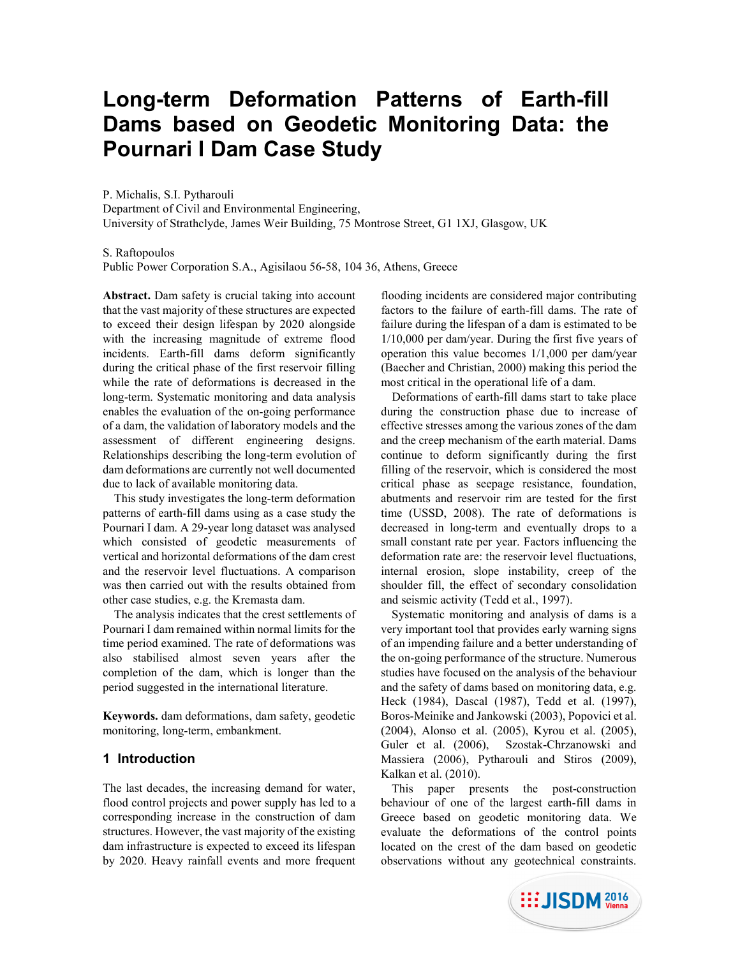# **Long-term Deformation Patterns of Earth-fill Dams based on Geodetic Monitoring Data: the Pournari I Dam Case Study**

P. Michalis, S.I. Pytharouli

Department of Civil and Environmental Engineering, University of Strathclyde, James Weir Building, 75 Montrose Street, G1 1XJ, Glasgow, UK

S. Raftopoulos

Public Power Corporation S.A., Agisilaou 56-58, 104 36, Athens, Greece

**Abstract.** Dam safety is crucial taking into account that the vast majority of these structures are expected to exceed their design lifespan by 2020 alongside with the increasing magnitude of extreme flood incidents. Earth-fill dams deform significantly during the critical phase of the first reservoir filling while the rate of deformations is decreased in the long-term. Systematic monitoring and data analysis enables the evaluation of the on-going performance of a dam, the validation of laboratory models and the assessment of different engineering designs. Relationships describing the long-term evolution of dam deformations are currently not well documented due to lack of available monitoring data.

This study investigates the long-term deformation patterns of earth-fill dams using as a case study the Pournari I dam. A 29-year long dataset was analysed which consisted of geodetic measurements of vertical and horizontal deformations of the dam crest and the reservoir level fluctuations. A comparison was then carried out with the results obtained from other case studies, e.g. the Kremasta dam.

The analysis indicates that the crest settlements of Pournari I dam remained within normal limits for the time period examined. The rate of deformations was also stabilised almost seven years after the completion of the dam, which is longer than the period suggested in the international literature.

**Keywords.** dam deformations, dam safety, geodetic monitoring, long-term, embankment.

## **1 Introduction**

The last decades, the increasing demand for water, flood control projects and power supply has led to a corresponding increase in the construction of dam structures. However, the vast majority of the existing dam infrastructure is expected to exceed its lifespan by 2020. Heavy rainfall events and more frequent

flooding incidents are considered major contributing factors to the failure of earth-fill dams. The rate of failure during the lifespan of a dam is estimated to be 1/10,000 per dam/year. During the first five years of operation this value becomes 1/1,000 per dam/year (Baecher and Christian, 2000) making this period the most critical in the operational life of a dam.

Deformations of earth-fill dams start to take place during the construction phase due to increase of effective stresses among the various zones of the dam and the creep mechanism of the earth material. Dams continue to deform significantly during the first filling of the reservoir, which is considered the most critical phase as seepage resistance, foundation, abutments and reservoir rim are tested for the first time (USSD, 2008). The rate of deformations is decreased in long-term and eventually drops to a small constant rate per year. Factors influencing the deformation rate are: the reservoir level fluctuations, internal erosion, slope instability, creep of the shoulder fill, the effect of secondary consolidation and seismic activity (Tedd et al., 1997).

Systematic monitoring and analysis of dams is a very important tool that provides early warning signs of an impending failure and a better understanding of the on-going performance of the structure. Numerous studies have focused on the analysis of the behaviour and the safety of dams based on monitoring data, e.g. Heck (1984), Dascal (1987), Tedd et al. (1997), Boros-Meinike and Jankowski (2003), Popovici et al. (2004), Alonso et al. (2005), Kyrou et al. (2005), Guler et al. (2006), Szostak-Chrzanowski and Massiera (2006), Pytharouli and Stiros (2009), Kalkan et al. (2010).

This paper presents the post-construction behaviour of one of the largest earth-fill dams in Greece based on geodetic monitoring data. We evaluate the deformations of the control points located on the crest of the dam based on geodetic observations without any geotechnical constraints.

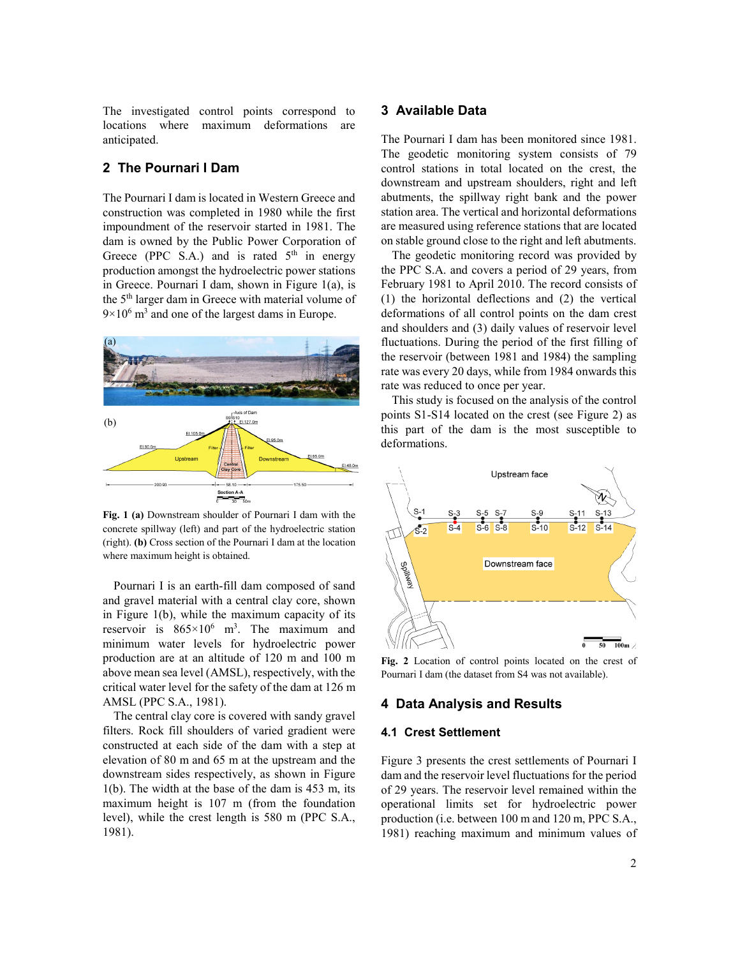The investigated control points correspond to locations where maximum deformations are anticipated.

# **2 The Pournari I Dam**

The Pournari I dam is located in Western Greece and construction was completed in 1980 while the first impoundment of the reservoir started in 1981. The dam is owned by the Public Power Corporation of Greece (PPC S.A.) and is rated  $5<sup>th</sup>$  in energy production amongst the hydroelectric power stations in Greece. Pournari I dam, shown in Figure 1(a), is the 5<sup>th</sup> larger dam in Greece with material volume of  $9 \times 10^6$  m<sup>3</sup> and one of the largest dams in Europe.



**Fig. 1 (a)** Downstream shoulder of Pournari I dam with the concrete spillway (left) and part of the hydroelectric station (right). **(b)** Cross section of the Pournari I dam at the location where maximum height is obtained.

Pournari I is an earth-fill dam composed of sand and gravel material with a central clay core, shown in Figure 1(b), while the maximum capacity of its reservoir is  $865 \times 10^6$  m<sup>3</sup>. The maximum and minimum water levels for hydroelectric power production are at an altitude of 120 m and 100 m above mean sea level (AMSL), respectively, with the critical water level for the safety of the dam at 126 m AMSL (PPC S.A., 1981).

The central clay core is covered with sandy gravel filters. Rock fill shoulders of varied gradient were constructed at each side of the dam with a step at elevation of 80 m and 65 m at the upstream and the downstream sides respectively, as shown in Figure 1(b). The width at the base of the dam is 453 m, its maximum height is 107 m (from the foundation level), while the crest length is 580 m (PPC S.A., 1981).

## **3 Available Data**

The Pournari I dam has been monitored since 1981. The geodetic monitoring system consists of 79 control stations in total located on the crest, the downstream and upstream shoulders, right and left abutments, the spillway right bank and the power station area. The vertical and horizontal deformations are measured using reference stations that are located on stable ground close to the right and left abutments.

The geodetic monitoring record was provided by the PPC S.A. and covers a period of 29 years, from February 1981 to April 2010. The record consists of (1) the horizontal deflections and (2) the vertical deformations of all control points on the dam crest and shoulders and (3) daily values of reservoir level fluctuations. During the period of the first filling of the reservoir (between 1981 and 1984) the sampling rate was every 20 days, while from 1984 onwards this rate was reduced to once per year.

This study is focused on the analysis of the control points S1-S14 located on the crest (see Figure 2) as this part of the dam is the most susceptible to deformations.



**Fig. 2** Location of control points located on the crest of Pournari I dam (the dataset from S4 was not available).

## **4 Data Analysis and Results**

#### **4.1 Crest Settlement**

Figure 3 presents the crest settlements of Pournari I dam and the reservoir level fluctuations for the period of 29 years. The reservoir level remained within the operational limits set for hydroelectric power production (i.e. between 100 m and 120 m, PPC S.A., 1981) reaching maximum and minimum values of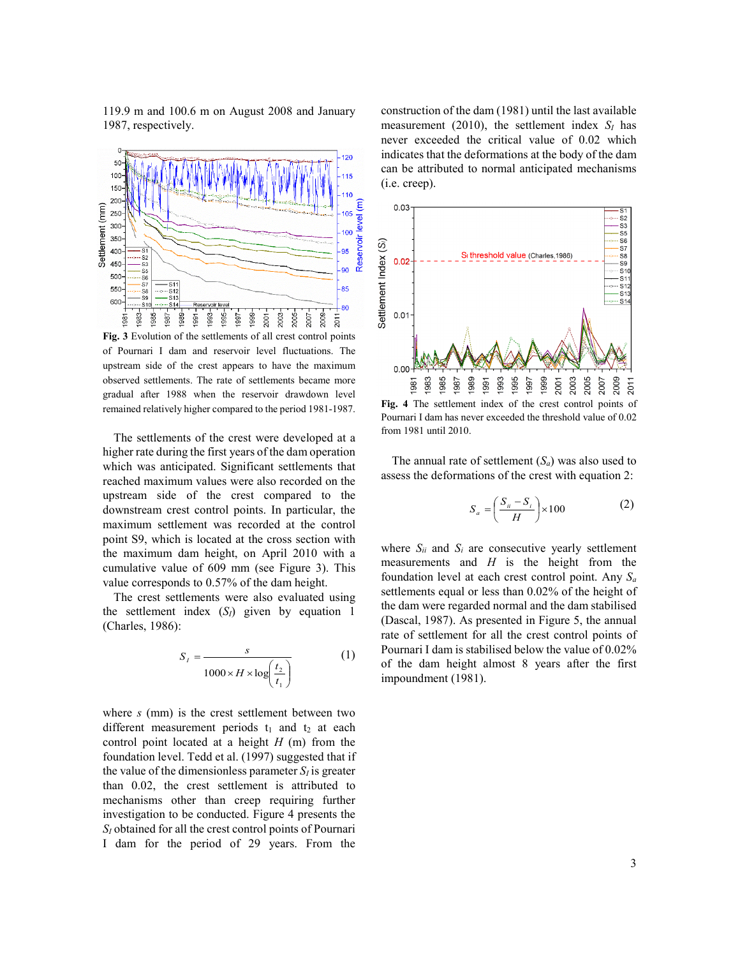119.9 m and 100.6 m on August 2008 and January 1987, respectively.



**Fig. 3** Evolution of the settlements of all crest control points of Pournari I dam and reservoir level fluctuations. The upstream side of the crest appears to have the maximum observed settlements. The rate of settlements became more gradual after 1988 when the reservoir drawdown level remained relatively higher compared to the period 1981-1987.

The settlements of the crest were developed at a higher rate during the first years of the dam operation which was anticipated. Significant settlements that reached maximum values were also recorded on the upstream side of the crest compared to the downstream crest control points. In particular, the maximum settlement was recorded at the control point S9, which is located at the cross section with the maximum dam height, on April 2010 with a cumulative value of 609 mm (see Figure 3). This value corresponds to 0.57% of the dam height.

The crest settlements were also evaluated using the settlement index (*SI*) given by equation 1 (Charles, 1986):

$$
S_{I} = \frac{s}{1000 \times H \times \log\left(\frac{t_{2}}{t_{1}}\right)}\tag{1}
$$

where *s* (mm) is the crest settlement between two different measurement periods  $t_1$  and  $t_2$  at each control point located at a height *H* (m) from the foundation level. Tedd et al. (1997) suggested that if the value of the dimensionless parameter  $S_I$  is greater than 0.02, the crest settlement is attributed to mechanisms other than creep requiring further investigation to be conducted. Figure 4 presents the *SI* obtained for all the crest control points of Pournari I dam for the period of 29 years. From the

construction of the dam (1981) until the last available measurement (2010), the settlement index  $S_I$  has never exceeded the critical value of 0.02 which indicates that the deformations at the body of the dam can be attributed to normal anticipated mechanisms (i.e. creep).



**Fig. 4** The settlement index of the crest control points of Pournari I dam has never exceeded the threshold value of 0.02 from 1981 until 2010.

The annual rate of settlement  $(S_a)$  was also used to assess the deformations of the crest with equation 2:

$$
S_a = \left(\frac{S_{ii} - S_i}{H}\right) \times 100\tag{2}
$$

where  $S_{ii}$  and  $S_i$  are consecutive yearly settlement measurements and *H* is the height from the foundation level at each crest control point. Any *Sa* settlements equal or less than 0.02% of the height of the dam were regarded normal and the dam stabilised (Dascal, 1987). As presented in Figure 5, the annual rate of settlement for all the crest control points of Pournari I dam is stabilised below the value of 0.02% of the dam height almost 8 years after the first impoundment (1981).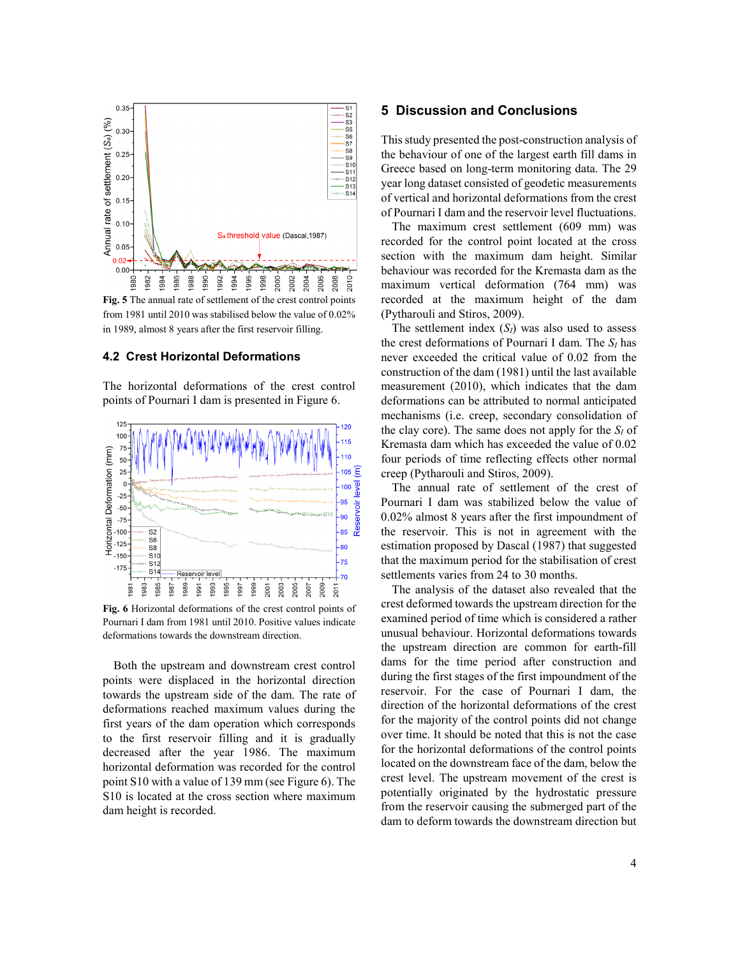

**Fig. 5** The annual rate of settlement of the crest control points from 1981 until 2010 was stabilised below the value of 0.02% in 1989, almost 8 years after the first reservoir filling.

#### **4.2 Crest Horizontal Deformations**

The horizontal deformations of the crest control points of Pournari I dam is presented in Figure 6.



**Fig. 6** Horizontal deformations of the crest control points of Pournari I dam from 1981 until 2010. Positive values indicate deformations towards the downstream direction.

Both the upstream and downstream crest control points were displaced in the horizontal direction towards the upstream side of the dam. The rate of deformations reached maximum values during the first years of the dam operation which corresponds to the first reservoir filling and it is gradually decreased after the year 1986. The maximum horizontal deformation was recorded for the control point S10 with a value of 139 mm (see Figure 6). The S10 is located at the cross section where maximum dam height is recorded.

## **5 Discussion and Conclusions**

This study presented the post-construction analysis of the behaviour of one of the largest earth fill dams in Greece based on long-term monitoring data. The 29 year long dataset consisted of geodetic measurements of vertical and horizontal deformations from the crest of Pournari I dam and the reservoir level fluctuations.

The maximum crest settlement (609 mm) was recorded for the control point located at the cross section with the maximum dam height. Similar behaviour was recorded for the Kremasta dam as the maximum vertical deformation (764 mm) was recorded at the maximum height of the dam (Pytharouli and Stiros, 2009).

The settlement index  $(S_I)$  was also used to assess the crest deformations of Pournari I dam. The *SI* has never exceeded the critical value of 0.02 from the construction of the dam (1981) until the last available measurement (2010), which indicates that the dam deformations can be attributed to normal anticipated mechanisms (i.e. creep, secondary consolidation of the clay core). The same does not apply for the  $S_I$  of Kremasta dam which has exceeded the value of 0.02 four periods of time reflecting effects other normal creep (Pytharouli and Stiros, 2009).

The annual rate of settlement of the crest of Pournari I dam was stabilized below the value of 0.02% almost 8 years after the first impoundment of the reservoir. This is not in agreement with the estimation proposed by Dascal (1987) that suggested that the maximum period for the stabilisation of crest settlements varies from 24 to 30 months.

The analysis of the dataset also revealed that the crest deformed towards the upstream direction for the examined period of time which is considered a rather unusual behaviour. Horizontal deformations towards the upstream direction are common for earth-fill dams for the time period after construction and during the first stages of the first impoundment of the reservoir. For the case of Pournari I dam, the direction of the horizontal deformations of the crest for the majority of the control points did not change over time. It should be noted that this is not the case for the horizontal deformations of the control points located on the downstream face of the dam, below the crest level. The upstream movement of the crest is potentially originated by the hydrostatic pressure from the reservoir causing the submerged part of the dam to deform towards the downstream direction but